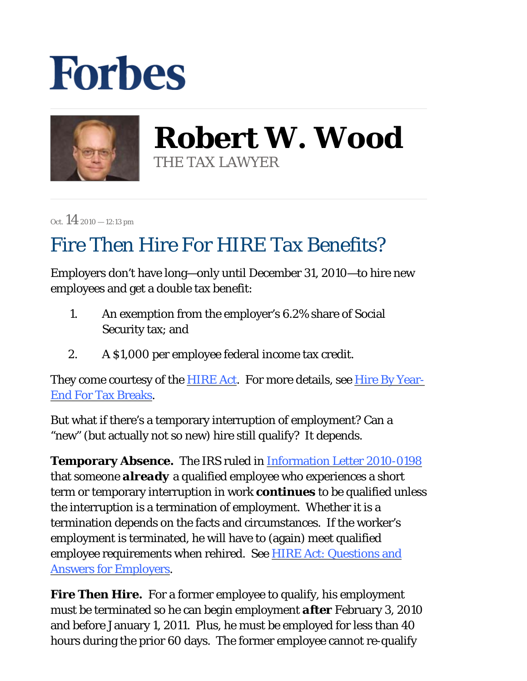## **Forbes**



**Robert W. Wood** THE TAX LAWYER

Oct.  $14_{2010 - 12:13 \text{ pm}}$ 

## Fire Then Hire For HIRE Tax Benefits?

Employers don't have long—only until December 31, 2010—to hire new employees and get a double tax benefit:

- An exemption from the employer's 6.2% share of Social Security tax; and 1.
- 2. A \$1,000 per employee federal income tax credit.

They come courtesy of the **HIRE Act.** For more details, see Hire By Year-End For Tax Breaks.

But what if there's a temporary interruption of employment? Can a "new" (but actually not so new) hire still qualify? It depends.

**Temporary Absence.** The IRS ruled in Information Letter 2010-0198 that someone *already* a qualified employee who experiences a short term or temporary interruption in work *continues* to be qualified unless the interruption is a termination of employment. Whether it is a termination depends on the facts and circumstances. If the worker's employment is terminated, he will have to (again) meet qualified employee requirements when rehired. See HIRE Act: Questions and Answers for Employers.

**Fire Then Hire.** For a former employee to qualify, his employment must be terminated so he can begin employment *after* February 3, 2010 and before January 1, 2011. Plus, he must be employed for less than 40 hours during the prior 60 days. The former employee cannot re-qualify